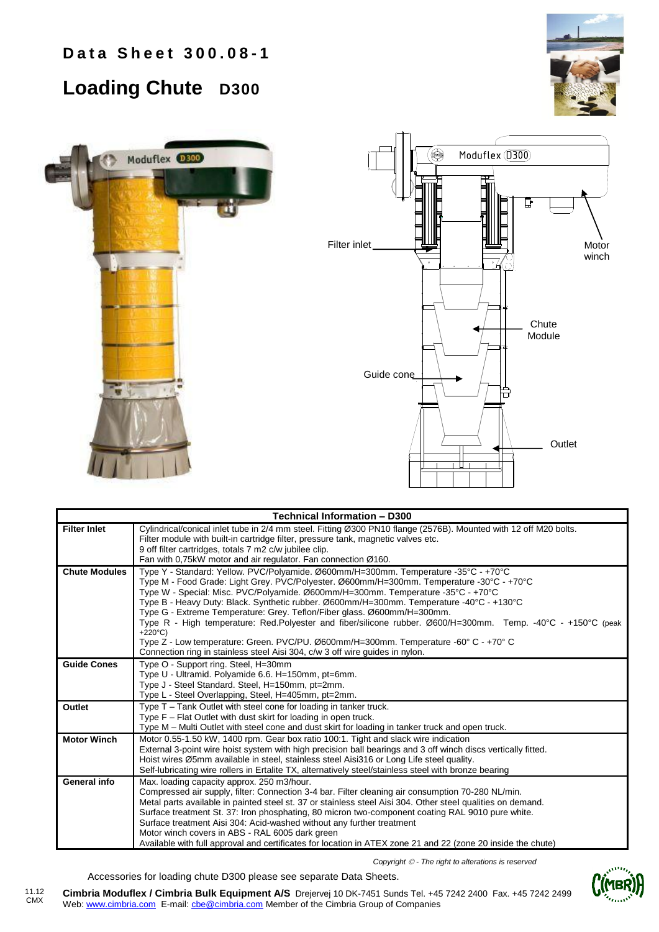## **Loading Chute D300**







| Technical Information - D300 |                                                                                                                                                                                                                                                                                                                                                                                                                                                                                                                                                                                                                                                                                                                                                          |  |  |  |  |  |
|------------------------------|----------------------------------------------------------------------------------------------------------------------------------------------------------------------------------------------------------------------------------------------------------------------------------------------------------------------------------------------------------------------------------------------------------------------------------------------------------------------------------------------------------------------------------------------------------------------------------------------------------------------------------------------------------------------------------------------------------------------------------------------------------|--|--|--|--|--|
| <b>Filter Inlet</b>          | Cylindrical/conical inlet tube in 2/4 mm steel. Fitting Ø300 PN10 flange (2576B). Mounted with 12 off M20 bolts.<br>Filter module with built-in cartridge filter, pressure tank, magnetic valves etc.<br>9 off filter cartridges, totals 7 m2 c/w jubilee clip.<br>Fan with 0,75kW motor and air regulator. Fan connection Ø160.                                                                                                                                                                                                                                                                                                                                                                                                                         |  |  |  |  |  |
| <b>Chute Modules</b>         | Type Y - Standard: Yellow. PVC/Polyamide. Ø600mm/H=300mm. Temperature -35°C - +70°C<br>Type M - Food Grade: Light Grey. PVC/Polyester. Ø600mm/H=300mm. Temperature -30°C - +70°C<br>Type W - Special: Misc. PVC/Polyamide. Ø600mm/H=300mm. Temperature -35°C - +70°C<br>Type B - Heavy Duty: Black. Synthetic rubber. Ø600mm/H=300mm. Temperature -40°C - +130°C<br>Type G - Extreme Temperature: Grey. Teflon/Fiber glass. Ø600mm/H=300mm.<br>Type R - High temperature: Red.Polyester and fiber/silicone rubber. Ø600/H=300mm. Temp. -40°C - +150°C (peak<br>$+220^{\circ}$ C)<br>Type Z - Low temperature: Green. PVC/PU. Ø600mm/H=300mm. Temperature -60° C - +70° C<br>Connection ring in stainless steel Aisi 304, c/w 3 off wire guides in nylon. |  |  |  |  |  |
| <b>Guide Cones</b>           | Type O - Support ring. Steel, H=30mm<br>Type U - Ultramid. Polyamide 6.6. H=150mm, pt=6mm.<br>Type J - Steel Standard. Steel, H=150mm, pt=2mm.<br>Type L - Steel Overlapping, Steel, H=405mm, pt=2mm.                                                                                                                                                                                                                                                                                                                                                                                                                                                                                                                                                    |  |  |  |  |  |
| Outlet                       | Type T - Tank Outlet with steel cone for loading in tanker truck.<br>Type F - Flat Outlet with dust skirt for loading in open truck.<br>Type M - Multi Outlet with steel cone and dust skirt for loading in tanker truck and open truck.                                                                                                                                                                                                                                                                                                                                                                                                                                                                                                                 |  |  |  |  |  |
| <b>Motor Winch</b>           | Motor 0.55-1.50 kW, 1400 rpm. Gear box ratio 100:1. Tight and slack wire indication<br>External 3-point wire hoist system with high precision ball bearings and 3 off winch discs vertically fitted.<br>Hoist wires Ø5mm available in steel, stainless steel Aisi316 or Long Life steel quality.<br>Self-lubricating wire rollers in Ertalite TX, alternatively steel/stainless steel with bronze bearing                                                                                                                                                                                                                                                                                                                                                |  |  |  |  |  |
| General info                 | Max. loading capacity approx. 250 m3/hour.<br>Compressed air supply, filter: Connection 3-4 bar. Filter cleaning air consumption 70-280 NL/min.<br>Metal parts available in painted steel st. 37 or stainless steel Aisi 304. Other steel qualities on demand.<br>Surface treatment St. 37: Iron phosphating, 80 micron two-component coating RAL 9010 pure white.<br>Surface treatment Aisi 304: Acid-washed without any further treatment<br>Motor winch covers in ABS - RAL 6005 dark green<br>Available with full approval and certificates for location in ATEX zone 21 and 22 (zone 20 inside the chute)                                                                                                                                           |  |  |  |  |  |

*Copyright - The right to alterations is reserved*

Accessories for loading chute D300 please see separate Data Sheets.



**Cimbria Moduflex / Cimbria Bulk Equipment A/S** Drejervej 10 DK-7451 Sunds Tel. +45 7242 2400 Fax. +45 7242 2499 Web: www.cimbria.com E-mail: cbe@cimbria.com Member of the Cimbria Group of Companies 11.12 CMX